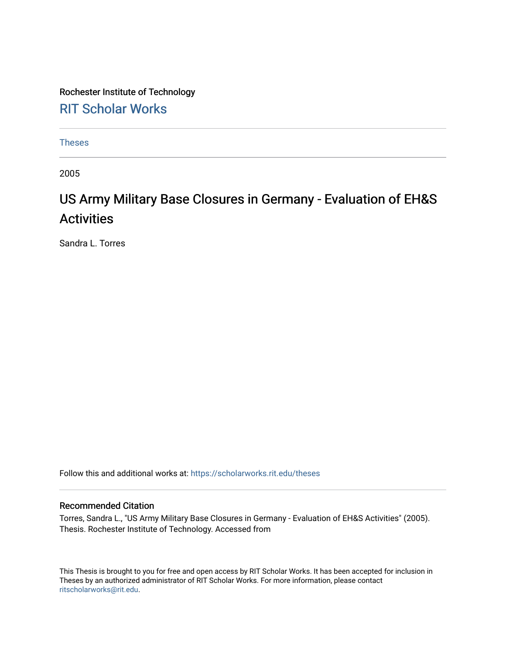Rochester Institute of Technology [RIT Scholar Works](https://scholarworks.rit.edu/)

[Theses](https://scholarworks.rit.edu/theses) 

2005

# US Army Military Base Closures in Germany - Evaluation of EH&S **Activities**

Sandra L. Torres

Follow this and additional works at: [https://scholarworks.rit.edu/theses](https://scholarworks.rit.edu/theses?utm_source=scholarworks.rit.edu%2Ftheses%2F8176&utm_medium=PDF&utm_campaign=PDFCoverPages) 

#### Recommended Citation

Torres, Sandra L., "US Army Military Base Closures in Germany - Evaluation of EH&S Activities" (2005). Thesis. Rochester Institute of Technology. Accessed from

This Thesis is brought to you for free and open access by RIT Scholar Works. It has been accepted for inclusion in Theses by an authorized administrator of RIT Scholar Works. For more information, please contact [ritscholarworks@rit.edu](mailto:ritscholarworks@rit.edu).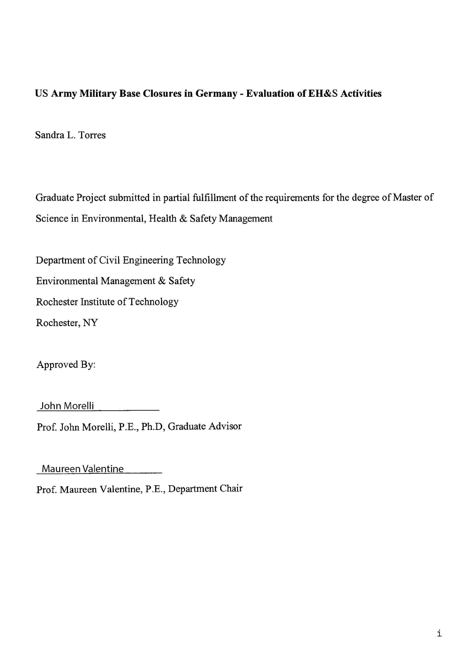# US **Army Military Base Closures in Germany - Evaluation of EH&S Activities**

Sandra L. Torres

Graduate Project submitted in partial fulfillment of the requirements for the degree of Master of Science in Environmental, Health & Safety Management

Department of Civil Engineering Technology Environmental Management & Safety Rochester Institute of Technology Rochester, NY

Approved By:

John Morelli

Prof. John Morelli, P.E., Ph.D, Graduate Advisor

Maureen Valentine

Prof. Maureen Valentine, P.E., Department Chair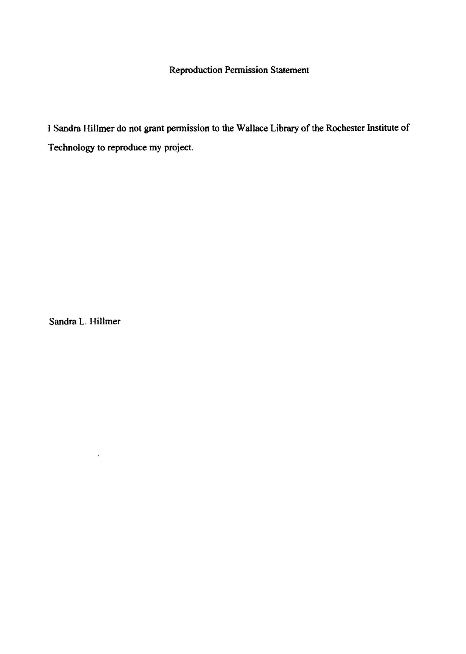Reproduction Pennission Statement

I Sandra Hillmer do not grant pennission to the Wallace Library of the Rochester Institute of Technology to reproduce my project.

Sandra L. Hillmer

 $\bar{t}$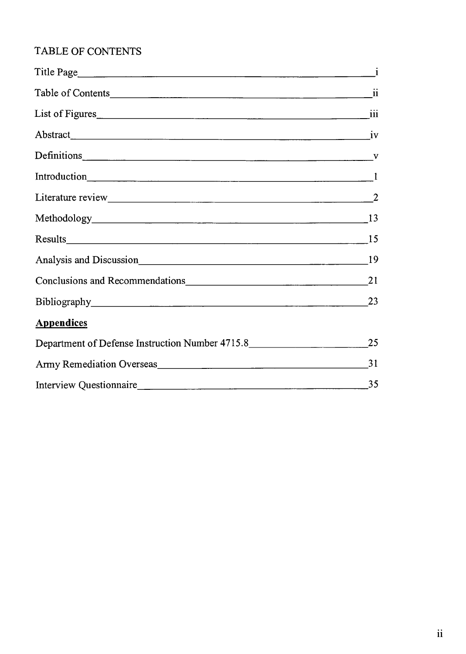# TABLE OF CONTENTS

| List of Figures                                 |    |
|-------------------------------------------------|----|
| Abstract                                        | iv |
| Definitions v                                   |    |
|                                                 |    |
| Literature review 2                             |    |
|                                                 |    |
|                                                 | 15 |
|                                                 | 19 |
|                                                 |    |
| Bibliography 23                                 |    |
| <b>Appendices</b>                               |    |
| Department of Defense Instruction Number 4715.8 | 25 |
|                                                 |    |
| Interview Questionnaire 135                     |    |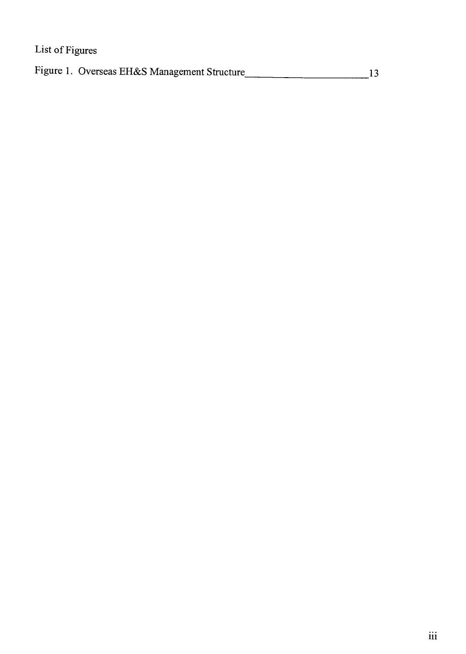| List of Figures                              |  |
|----------------------------------------------|--|
| Figure 1. Overseas EH&S Management Structure |  |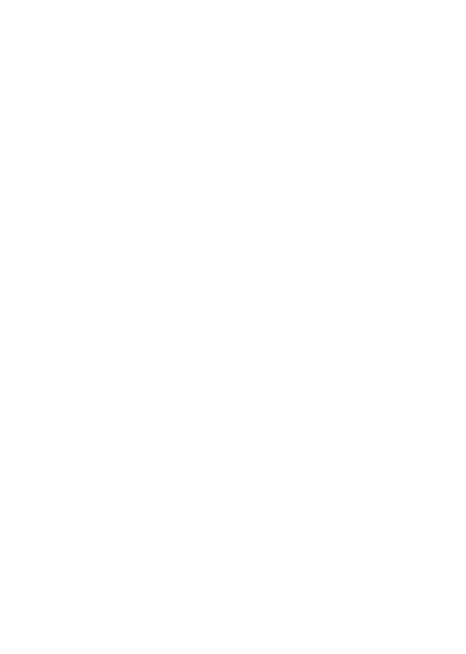#### ABSTRACT

This research assessed the effectiveness of existing Environmental, Health and Safety (EH&S) Management programs for two army installations located in Germany that were scheduled for closure. These two base closures were separated by a period of four years. This research qualitatively assessed the control measures in place, the effectiveness of these measures, and the final status of EH&S issues upon completion of the base closure process.

EH&S programs were evaluated using interviews of employees involved in the base closure in order to determine what processes were in place to minimize environmental impacts, what actions were taken to ensure the health and safety of employees working on the installation, and what environmental issues remained unresolved at the time of closure. The goal of the research was to determine improvements occurring in the EH&S management programs between these two base closures.

Results ofthis research indicate that the US Army has improved its base closure process by publishing an environmental strategy, thoroughly planning and coordinating specific environmental tasks, and working with the host nation to minimize environmental damage and limit liability. The US Army has not yet fully integrated the health and safety management aspects into its program for base closure. Closer adherence to the goals and objectives outlined in the Army Cleanup Strategy will result in fewer unresolved issues for subsequent base closures.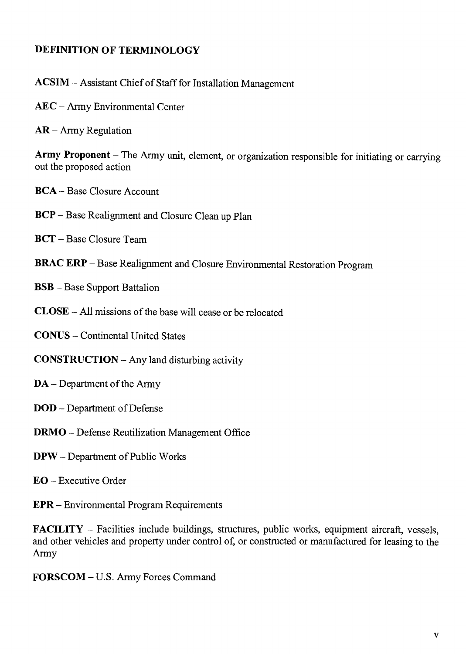# DEFINITION OF TERMINOLOGY

- ACSIM Assistant Chief of Staff for Installation Management
- AEC Army Environmental Center
- AR Army Regulation

Army Proponent – The Army unit, element, or organization responsible for initiating or carrying out the proposed action

- BCA Base Closure Account
- BCP Base Realignment and Closure Clean up Plan
- BCT Base Closure Team
- BRAC ERP Base Realignment and Closure Environmental Restoration Program
- BSB Base Support Battalion
- CLOSE All missions of the base will cease or be relocated
- CONUS Continental United States
- CONSTRUCTION Any land disturbing activity
- DA Department of the Army
- DOD Department of Defense
- DRMO Defense Reutilization Management Office
- DPW Department of Public Works
- EO Executive Order

EPR-Environmental Program Requirements

FACILITY - Facilities include buildings, structures, public works, equipment aircraft, vessels, and other vehicles and property under control of, or constructed or manufactured for leasing to the Army

FORSCOM - U.S. Army Forces Command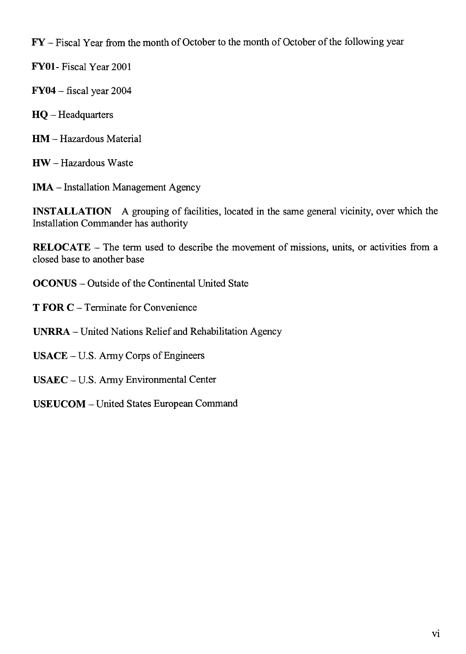$FY$  – Fiscal Year from the month of October to the month of October of the following year

FY01- Fiscal Year 2001

- $FY04 fiscal year 2004$
- $\mathbf{HQ}$  Headquarters
- HM Hazardous Material
- HW Hazardous Waste
- IMA Installation Management Agency

INSTALLATION A grouping of facilities, located in the same general vicinity, over which the Installation Commander has authority

 $RELOCALE - The term used to describe the movement of missions, units, or activities from a$ closed base to another base

- OCONUS Outside of the Continental United State
- T FOR C Terminate for Convenience
- UNRRA United Nations Relief and Rehabilitation Agency
- $USACE U.S.$  Army Corps of Engineers
- USAEC U.S. Army Environmental Center
- USEUCOM United States European Command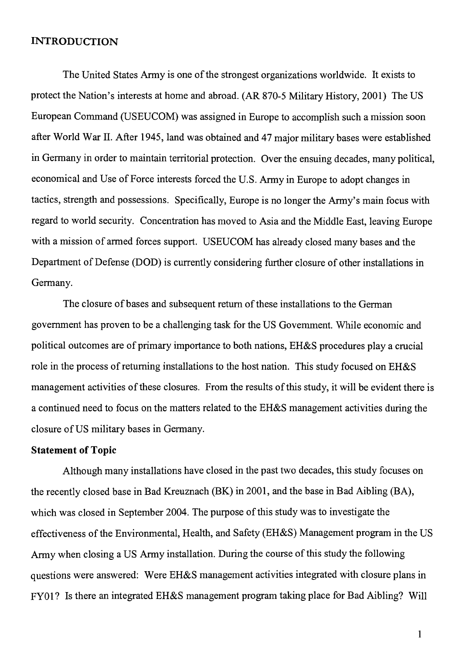#### INTRODUCTION

The United States Army is one of the strongest organizations worldwide. It exists to protect the Nation's interests at home and abroad. (AR 870-5 Military History, 2001) The US European Command (USEUCOM) was assigned in Europe to accomplish such a mission soon after World War II. After 1945, land was obtained and 47 major military bases were established in Germany in order to maintain territorial protection. Over the ensuing decades, many political, economical and Use of Force interests forced the U.S. Army in Europe to adopt changes in tactics, strength and possessions. Specifically, Europe is no longer the Army's main focus with regard to world security. Concentration has moved to Asia and the Middle East, leaving Europe with <sup>a</sup> mission of armed forces support. USEUCOM has already closed many bases and the Department of Defense (DOD) is currently considering further closure of other installations in Germany.

The closure of bases and subsequent return of these installations to the German government has proven to be a challenging task for the US Government. While economic and political outcomes are of primary importance to both nations, EH&S procedures play a crucial role in the process of returning installations to the host nation. This study focused on  $E_H \& S$ management activities of these closures. From the results of this study, it will be evident there is a continued need to focus on the matters related to the EH&S management activities during the closure ofUS military bases in Germany.

#### **Statement of Topic**

Although many installations have closed in the past two decades, this study focuses on the recently closed base in Bad Kreuznach (BK) in 2001, and the base in Bad Aibling (BA), which was closed in September 2004. The purpose of this study was to investigate the effectiveness of the Environmental, Health, and Safety (EH&S) Management program in the US Army when closing a US Army installation. During the course of this study the following questions were answered: Were EH&S management activities integrated with closure plans in FY01? Is there an integrated EH&S management program taking place for Bad Aibling? Will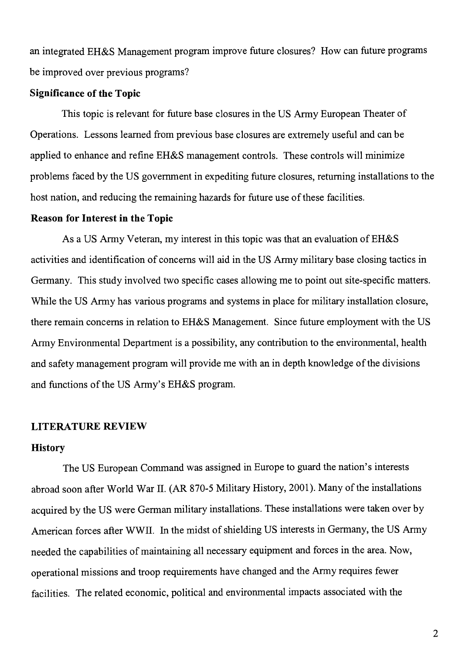an integrated EH&S Management program improve future closures? How can future programs be improved over previous programs?

#### Significance of the Topic

This topic is relevant for future base closures in the US Army European Theater of Operations. Lessons learned from previous base closures are extremely useful and can be applied to enhance and refine EH&S management controls. These controls will minimize problems faced by the US government in expediting future closures, returning installations to the host nation, and reducing the remaining hazards for future use of these facilities.

#### Reason for Interest in the Topic

As a US Army Veteran, my interest in this topic was that an evaluation of EH&S activities and identification of concerns will aid in the US Army military base closing tactics in Germany. This study involved two specific cases allowing me to point out site-specific matters. While the US Army has various programs and systems in place for military installation closure, there remain concerns in relation to EH&S Management. Since future employment with the US Army Environmental Department is a possibility, any contribution to the environmental, health and safety management program will provide me with an in depth knowledge of the divisions and functions of the US Army's EH&S program.

#### LITERATURE REVIEW

#### **History**

The US European Command was assigned in Europe to guard the nation's interests abroad soon after World War II. (AR 870-5 Military History, 2001). Many of the installations acquired by the US were German military installations. These installations were taken over by American forces after WWII. In the midst of shielding US interests in Germany, the US Army needed the capabilities of maintaining all necessary equipment and forces in the area. Now, operational missions and troop requirements have changed and the Army requires fewer facilities. The related economic, political and environmental impacts associated with the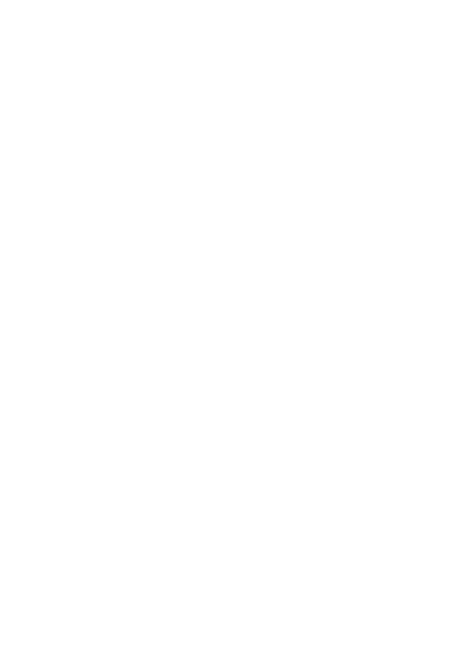consequent closing ofUS installations in Germany are of concern to both nations (Cunningham and Klemmer, 1995).

#### Bad Kreuznach

Bad Kreuznach (BK), once home to roughly 2,300 soldiers and the 1st Armored Division Headquarters, is located in western Germany. It is close to the border of France and belongs to the German state of Rhein-Main Platz. The BK installations were taken over by US forces in 1945. On Feb. 15, 2000, Secretary ofDefense William S. Cohen announced the end of operations of the Headquarters, US Army Europe in Bad Kreuznach. As part of this closure, six facilities were returned to host nation control. They are the Bad Kreuznach Family Housing Area, the Army Air Field, the Hospital Kaserne, the George C. Marshall Kaserne, the Moersfeld Storage Point, and Rose Barracks. These installations contained a training area, target range, hospital, motor pool, airfield, family housing units, fueling station, and various administrative buildings. In May 2001, BK was closed and 1,500 soldiers, 1,800 family members, 450 US and 350 local workers were relocated from BK to Wiesbaden, Germany (Dougherty, 2001). In December 2001, the installations were turned over to the German government.

#### Bad Aibling

The installation of Bad Aibling (BA) is located in southeastern Germany at the foot of the Alps in the state ofBavaria. In 1934, Adolph Hitler constructed many airfields in southern Germany, and Bad Aibling provided air support for the Third Reich operations. Between 1936 and 1939, troops and planes occupied the area. The airfield, nicknamed "Jaegerplatz" (Hunter's Place), was not strong enough to withhold the new heavy fighter planes that were built for the war. Consequently, the camp was converted into a flight-training base. In 1945, during the last stages of the war, many of the German planes standing on the camp were destroyed when the field was bombed. Subsequently, the camp was used by the U.S. Army  $101^{\text{st}}$  Cavalry as a prisoner of war camp named PWE 26. In 1946, the United Nations Relief and Rehabilitation Agency (UNRRA) along with the International Refugee Organization (IRO) turned the camp into a displaced persons camp and orphanage. The U.S. Army took over the camp in 1952, and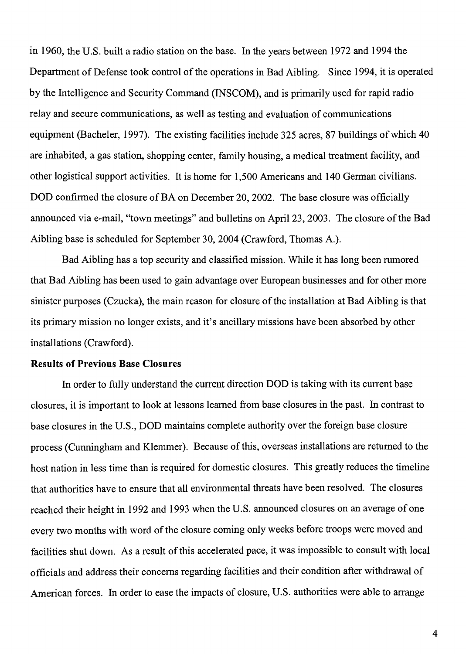in 1960, the U.S. built a radio station on the base. In the years between 1972 and 1994 the Department of Defense took control of the operations in Bad Aibling. Since 1994, it is operated by the Intelligence and Security Command (INSCOM), and is primarily used for rapid radio relay and secure communications, as well as testing and evaluation of communications equipment (Bacheler, 1997). The existing facilities include 325 acres, 87 buildings ofwhich 40 are inhabited, a gas station, shopping center, family housing, a medical treatment facility, and other logistical support activities. It is home for 1,500 Americans and 140 German civilians. DOD confirmed the closure of BA on December 20, 2002. The base closure was officially announced via e-mail, "town meetings" and bulletins on April 23, 2003. The closure of the Bad Aibling base is scheduled for September 30, 2004 (Crawford, Thomas A.).

Bad Aibling has a top security and classified mission. While it has long been rumored that Bad Aibling has been used to gain advantage over European businesses and for other more sinister purposes (Czucka), the main reason for closure ofthe installation at Bad Aibling is that its primary mission no longer exists, and it's ancillary missions have been absorbed by other installations (Crawford).

#### Results of Previous Base Closures

In order to fully understand the current direction DOD is taking with its current base closures, it is important to look at lessons learned from base closures in the past. In contrast to base closures in the U.S., DOD maintains complete authority over the foreign base closure process (Cunningham and Klemmer). Because of this, overseas installations are returned to the host nation in less time than is required for domestic closures. This greatly reduces the timeline that authorities have to ensure that all environmental threats have been resolved. The closures reached their height in 1992 and 1993 when the U.S. announced closures on an average of one every two months with word of the closure coming only weeks before troops were moved and facilities shut down. As a result of this accelerated pace, it was impossible to consult with local officials and address their concerns regarding facilities and their condition after withdrawal of American forces. In order to ease the impacts of closure, U.S. authorities were able to arrange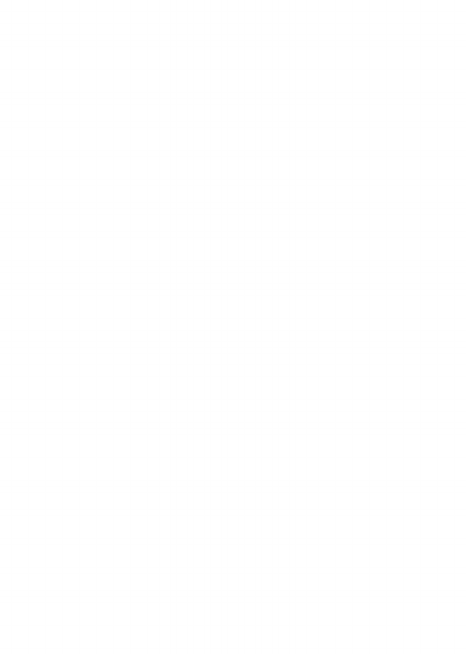shared-use agreements, on-site inspections, and financial compensation to the German government (Cunningham and Klemmer, 45).

When the DOD or Army decides to return a facility, it must consider two components, compensation for buildings and environmental cleanup. This paper focuses primarily on the environmental cleanup issues that arose in the past but are still pertinent today and will continue to be in the future. Both US and German policies require the United States to clean all contamination at the facilities for which it is responsible and to return the land in the same condition it was found (Cunningham and Klemmer 46). When remediating environmental contamination, the US is legally required to: (1) clean the contamination, or (2) allow the German government to clean the site and deduct the cost from the agreed upon residual value. It is important to note that at many base closure sites, the cost of conversion to commercial or private use is extremely high and is often cost prohibitive to the German government, local government, or private organizations. In light of this, residual value is often much lower than expected and alternatives for future use are very limited. This places a great responsibility on US officials who may be forced to comply with all host nation environmental requirements before they can officially turn over the site (Cunningham and Klemmer, 47-75). However, the German government cannot refuse to take receipt of the installation even if all environmental issues have not been resolved. Liability litigation by private organizations may continue for up to 30 years after a base is handed over to the host nation, and government files must remain available for this period (Schommer and Walmsley).

#### Development of the Army's EH&S Management System

The organizational structure and interrelationships of the Army's EH&S Management System is identified in Figure 1. From this figure, it is possible to understand where command, policy, funding, and guidance are derived. It is also possible to see which organizations provide technical expertise to the ultimate end user, the overseas installation. It is at the installation level where all policies and programs are put into effect and compliance is monitored as well as where issues are resolved. There are two organizations that are critical to the implementation and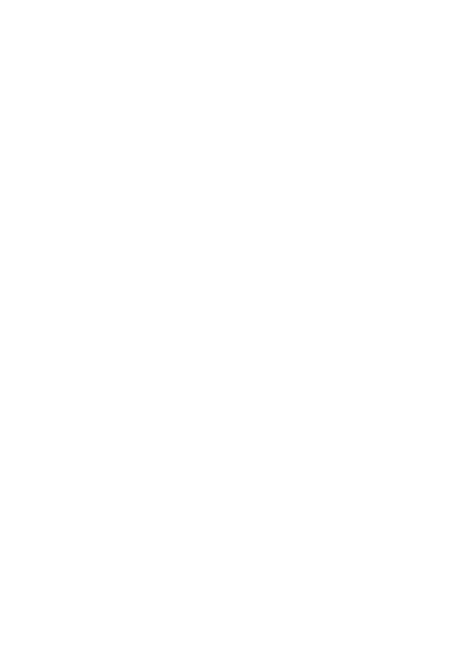monitoring of overseas environmental policy, the Installation Management Agency and the U.S. Army Claims Office. The roles and responsibilities of these two organizations will be discussed later in this paper.



#### Army Remediation Overseas

Figure 1. Overseas EH&S Management Structure

#### EH&S Policy and Guidance

The Army's EH&S Management Policy is promulgated in several documents, the first of which was published in 1998. This policy, DODI 4715.8 (DOD), assigns responsibilities and prescribes procedures for remediation of environmental contamination on DOD installations outside the US. Specifically addressed in this instruction are procedures for facilities that have been designated for return or that are already returned (DOD, 5-6). It directs DOD components, in this case the Army, to take prompt action to remedy known imminent and substantial hazards to human health and safety. These hazards must be located on or emanating from an installation designated for return. The in-theater component commander makes the determination of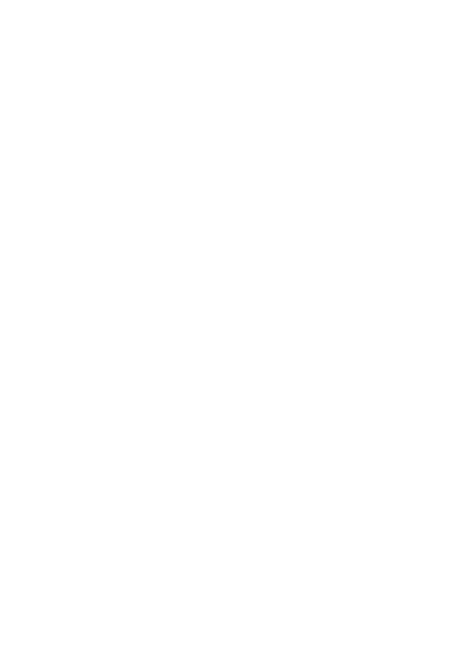whether a hazard poses an imminent threat to health and safety.

While this remediation may be completed after return to the host nation, actions are limited to essential parts in the remediation plan. The DOD component commander must approve this plan. This policy also indicates that DOD may be subject to additional remediation as required by international agreement even though such remediation may not pose an imminent threat to human health and safety. DODI 4715.8 allows flexibility for both the U.S. and host nations to undergo efforts to clean up contamination both before and after turnover ofthe installation. Finally, this policy requires that information pertaining to environmental contamination be maintained for five years after the location is returned to the host nation, and all claims are finally resolved.

The US Army Center for Health Promotion and Preventive Medicine (USACHPPM) is the agency primarily responsible for overseeing issues and managing problems as it affects health. USACHPPM's mission is to provide worldwide technical support for implementing preventive medicine, public health, and health promotion/wellness services into all aspects of America's Army and the Army Community anticipating and rapidly responding to operational needs and adaptable to a changing world environment(About USACHPPM). As indicated in Figure 1, they oversee activities in OCONUS regions, but do not coordinate with any other agency involved to include IMA or the US Army Environmental Center.

#### Environmental Program Requirements Report

The Environmental Program Requirements (EPR) Report is the mechanism the Army uses to identify and document all ongoing environmental requirements and resources required in support of the Army's environmental program. Specifics of the EPR are outlined in "the Policy and Guidance for Identifying U.S. Army Environmental Program Requirements" (Office ofthe Director Environmental Programs). This policy identifies the tracking mechanism for all ongoing environmental projects from the time they are identified until the time they are completed. It also retains historical information to meet the requirements of the Army's cleanup strategy (Fiori, 45). This policy identifies the classes of environmental projects (Office of the

 $\overline{7}$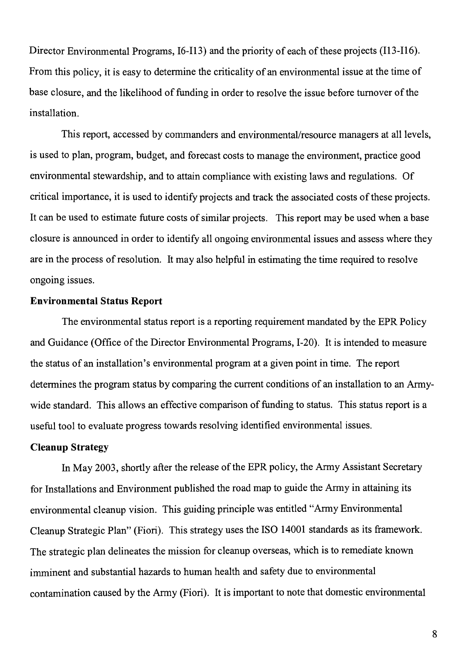Director Environmental Programs, 16-113) and the priority of each of these projects (I13-116). From this policy, it is easy to determine the criticality of an environmental issue at the time of base closure, and the likelihood of funding in order to resolve the issue before turnover of the installation.

This report, accessed by commanders and environmental/resource managers at all levels, is used to plan, program, budget, and forecast costs to manage the environment, practice good environmental stewardship, and to attain compliance with existing laws and regulations. Of critical importance, it is used to identify projects and track the associated costs of these projects. It can be used to estimate future costs of similar projects. This report may be used when a base closure is announced in order to identify all ongoing environmental issues and assess where they are in the process of resolution. It may also helpful in estimating the time required to resolve ongoing issues.

#### Environmental Status Report

The environmental status report is a reporting requirement mandated by the EPR Policy and Guidance (Office of the Director Environmental Programs, I-20). It is intended to measure the status of an installation's environmental program at a given point in time. The report determines the program status by comparing the current conditions of an installation to an Armywide standard. This allows an effective comparison of funding to status. This status report is a useful tool to evaluate progress towards resolving identified environmental issues.

#### Cleanup Strategy

In May 2003, shortly after the release of the EPR policy, the Army Assistant Secretary for Installations and Environment published the road map to guide the Army in attaining its environmental cleanup vision. This guiding principle was entitled "Army Environmental Cleanup Strategic Plan" (Fiori). This strategy uses the ISO <sup>14001</sup> standards as its framework. The strategic plan delineates the mission for cleanup overseas, which is to remediate known imminent and substantial hazards to human health and safety due to environmental contamination caused by the Army (Fiori). It is important to note that domestic environmental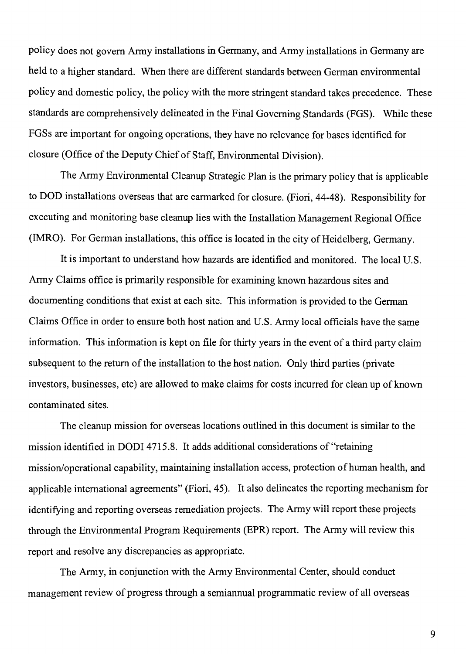policy does not govern Army installations in Germany, and Army installations in Germany are held to a higher standard. When there are different standards between German environmental policy and domestic policy, the policy with the more stringent standard takes precedence. These standards are comprehensively delineated in the Final Governing Standards (FGS). While these FGSs are important for ongoing operations, they have no relevance for bases identified for closure (Office of the Deputy Chief of Staff, Environmental Division).

The Army Environmental Cleanup Strategic Plan is the primary policy that is applicable to DOD installations overseas that are earmarked for closure. (Fiori, 44-48). Responsibility for executing and monitoring base cleanup lies with the Installation Management Regional Office (IMRO). For German installations, this office is located in the city of Heidelberg, Germany.

It is important to understand how hazards are identified and monitored. The local U.S. Army Claims office is primarily responsible for examining known hazardous sites and documenting conditions that exist at each site. This information is provided to the German Claims Office in order to ensure both host nation and U.S. Army local officials have the same information. This information is kept on file for thirty years in the event of a third party claim subsequent to the return of the installation to the host nation. Only third parties (private investors, businesses, etc) are allowed to make claims for costs incurred for clean up of known contaminated sites.

The cleanup mission for overseas locations outlined in this document is similar to the mission identified in DODI 4715.8. It adds additional considerations of "retaining mission/operational capability, maintaining installation access, protection ofhuman health, and applicable international agreements" (Fiori, 45). It also delineates the reporting mechanism for identifying and reporting overseas remediation projects. The Army will report these projects through the Environmental Program Requirements (EPR) report. The Army will review this report and resolve any discrepancies as appropriate.

The Army, in conjunction with the Army Environmental Center, should conduct management review of progress through a semiannual programmatic review of all overseas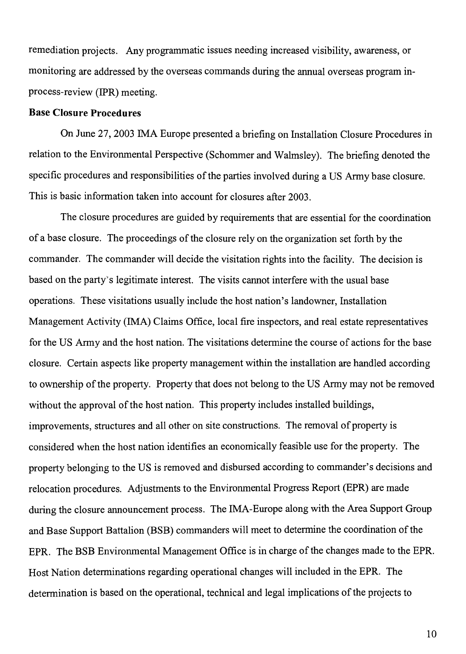remediation projects. Any programmatic issues needing increased visibility, awareness, or monitoring are addressed by the overseas commands during the annual overseas program inprocess-review (IPR) meeting.

#### Base Closure Procedures

On June 27, 2003 IMA Europe presented a briefing on Installation Closure Procedures in relation to the Environmental Perspective (Schommer and Walmsley). The briefing denoted the specific procedures and responsibilities of the parties involved during a US Army base closure. This is basic information taken into account for closures after 2003.

The closure procedures are guided by requirements that are essential for the coordination of a base closure. The proceedings of the closure rely on the organization set forth by the commander. The commander will decide the visitation rights into the facility. The decision is based on the party's legitimate interest. The visits cannot interfere with the usual base operations. These visitations usually include the host nation's landowner, Installation Management Activity (IMA) Claims Office, local fire inspectors, and real estate representatives for the US Army and the host nation. The visitations determine the course of actions for the base closure. Certain aspects like property management within the installation are handled according to ownership of the property. Property that does not belong to the US Army may not be removed without the approval of the host nation. This property includes installed buildings, improvements, structures and all other on site constructions. The removal of property is considered when the host nation identifies an economically feasible use for the property. The property belonging to the US is removed and disbursed according to commander's decisions and relocation procedures. Adjustments to the Environmental Progress Report (EPR) are made during the closure announcement process. The IMA-Europe along with the Area Support Group and Base Support Battalion (BSB) commanders will meet to determine the coordination of the EPR. The BSB Environmental Management Office is in charge of the changes made to the EPR. Host Nation determinations regarding operational changes will included in the EPR. The determination is based on the operational, technical and legal implications of the projects to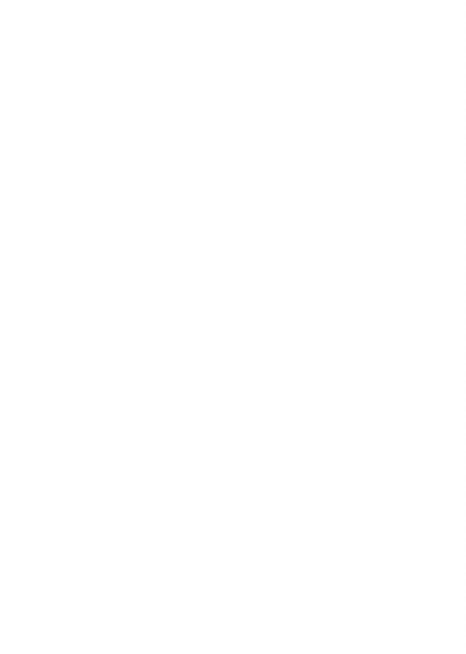include funded and ongoing remediation efforts. Projects that increase residual value are not considered. As part of the EPR update, the costs of the Environmental Management Office (EMO) staff, laboratory analysis costs, and hazardous waste disposal costs are included in order to reduce or raise program management costs. The EMO is responsible for retaining all environmental records, hazardous waste disposal, and tank closures along with providing information for the ESR. According to the FGS (Office of the Deputy Chief of Staff, Environmental Division, 2003), records are required to be kept for use in the EMS development. Liability related reports are kept by the claims office. There are no specific record keeping requirements for the host nation. Permits and any violations to exclude cost information is shared by the HN and the US forces.

The HW/HM disposal is done in conjunction with the generating unit. The unit is responsible for providing proper packing, labeling and for effecting disposal. HM are returned to the unit's supply system. HW is disposed of through the Defense Reutilization Marketing Service International (DRMSI). An updated inventory is made describing the types of hazardous waste generated. The central turn-in points and point of contact individual are established during the first phase of the closure after closure announcement. Necessary inspections are conducted and a review of disposal contracts is performed in order to ensure the proper handling of increased HW.

Tank closure decisions are dependent on host nation determination and these decisions should be in writing. The host nation will determine if the tanks ought to be left empty and clean or filled and this decision is primarily based on the economic benefit of continued use. The host nation must also provide personnel to maintain operation of heating tanks and heating systems. The disposal of real property is based on the use of the property. Underground Storage Tanks (USTs), petroleum, oil, and lubricant (POL) containers and grease separators should be cleaned. Cooking ranges, retention basins and sewers should not be cleaned.

The local administrative element of the base closure is centered in the ASG. The ASG Commander is accountable for the installations funds and efficient transition. The Installation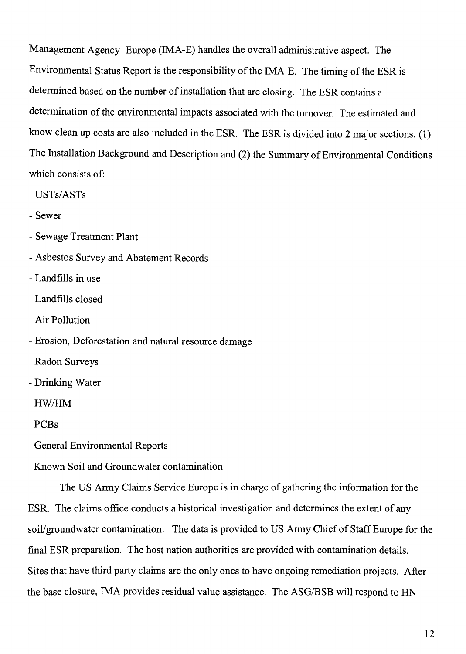Management Agency- Europe (IMA-E) handles the overall administrative aspect. The Environmental Status Report is the responsibility of the IMA-E. The timing of the ESR is determined based on the number of installation that are closing. The ESR contains a determination of the environmental impacts associated with the turnover. The estimated and know clean up costs are also included in the ESR. The ESR is divided into <sup>2</sup> major sections: (1) The Installation Background and Description and (2) the Summary of Environmental Conditions which consists of:

USTs/ASTs

- Sewer

- Sewage Treatment Plant

- Asbestos Survey and Abatement Records

- Landfills in use

Landfills closed

Air Pollution

- Erosion, Deforestation and natural resource damage

Radon Surveys

- Drinking Water

HW/HM

PCBs

- General Environmental Reports

Known Soil and Groundwater contamination

The US Army Claims Service Europe is in charge of gathering the information for the ESR. The claims office conducts a historical investigation and determines the extent of any soil/groundwater contamination. The data is provided to US Army Chief of Staff Europe for the final ESR preparation. The host nation authorities are provided with contamination details. Sites that have third party claims are the only ones to have ongoing remediation projects. After the base closure, IMA provides residual value assistance. The ASG/BSB will respond to HN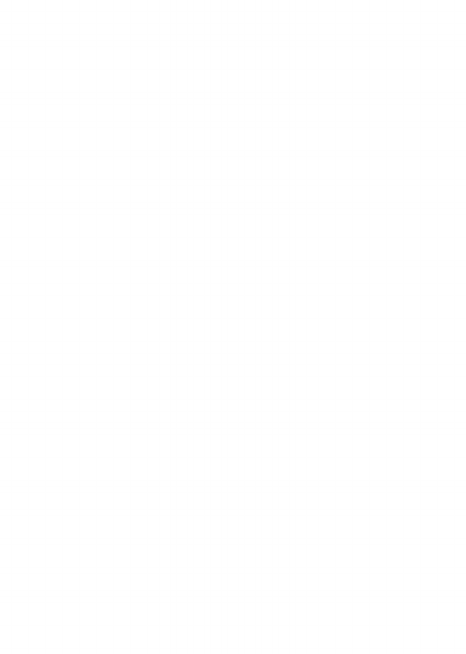data inquires. Any claims dealing with the installations after closure are handled through the Claims Office. Only third Party claims are considered after closure and the German Federal Government cannot make any direct claims.

The National Fire Protection Association (NFPA) guides the fire regulations within the US Army installations. These regulations are more stringent than the fire regulations in Germany. Since most of the constructions in BA and BK were built prior to WWII, only improvements made since by the U.S Army are governed by these standards (Crawford). Host nation laws and regulations vary between German states, and the states of Rhein-Main Platz and Bavaria have different laws.

#### METHODOLOGY

The comparison study denotes the EH&S Management parameters that were used in FY01 and the EH&S Management factors being used in the future closing in (FY04) by the US Army. This study compared laws and regulations, base closure stipulations, and EH&S issues, with particular focus on: hazardous materials, hazardous waste management, ground and drinking water and underground tanks in closing these installations. In the closure of Bad Kreuznach, many of the individuals involved with the closure of the base were no longer available to be contacted, and the research was based on historical documents left behind. Further methodology is outlined in the sections below.

#### Research Methods, Validity, and Analysis

Review of existing documentation and personal interviews were utilized during this work to obtain data pertaining to the EH&S activities used by the US Army in Germany. Background information was studied on the EH&S Management tactics used by the US Army in Germany as well as the recent programs developed. It includes the aspects that form part of the US Army's EH&S strategies. The investigation was based on two US Army military installations in Germany. Data from various sources in relation to each Army base was obtained through textbooks, publications and electronic research, as well as personal interviews. This information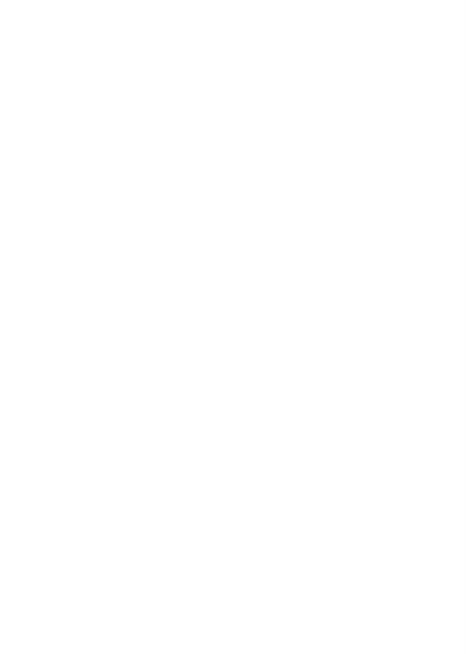was reviewed in order to achieve a comparison of procedures and activities at each base.

Information and data was gathered from the US Army work force. Environmental Engineers, personnel from the Department of Public Works (DPW), and sources from the Installation Management Agency IMA- Europe were contacted starting from an initial contact list and increasing the contacts through recommendations and referrals. The contacts were made predominantly via telephone and other electronic means. Interviews were arranged and audio taped with permission of interviewee. This method enabled active listening, providing the means of going back and reevaluating what the interviewee expressed and said. Specific questions regarding the study were addressed (Appendix C). Additional information regarding other useful contacts was requested from each interviewee.

Due to the delicate matters of this research, the information collection changed throughout the process. The author encountered information that is for military official use only, therefore it cannot be disclosed. Several interviewed parties provided limited data, but by the interviewees' request, their names are not disclosed. Because ofthe classified US Army missions, interviewees could not reveal the status of many of the known turnover issues. This information is provided to the host nation as "Official Use Only" information, and it is not possible to determine which sites pose the most imminent threat, which have the highest priority, and the total cost associated with cleanup of these sites. Interviewees were only permitted to provide information pertaining to the history, land area and existing buildings.

Validity was established through a set pattern of questions in relation to each field. The pattern of questions aided in the determination of truthful and accurate answers. The data was continuously evaluated and verified through in-depth interviews. An interpretation was obtained from the analysis of the sources and applied to the framework of an effective EH&S Management program. A question/interview sheet/research guide was established. Early respondents were contacted again with additional questions arising from later interviews. The results of the questions helped identify areas that needed resolution when conflicting information was provided by the interviewees. Individuals of different organizational backgrounds were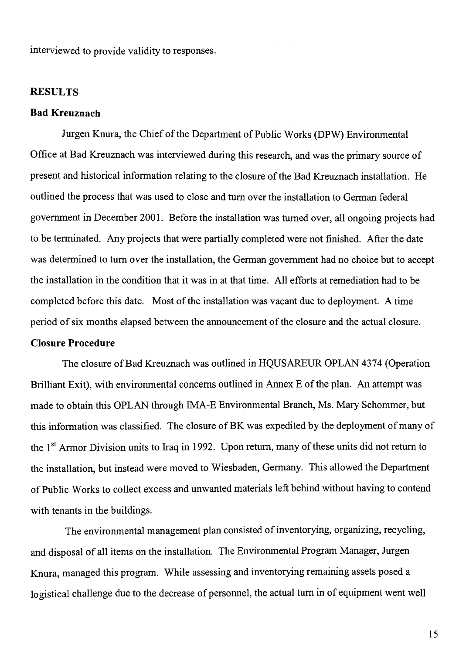interviewed to provide validity to responses.

#### RESULTS

#### Bad Kreuznach

Jurgen Knura, the Chief of the Department of Public Works (DPW) Environmental Office at Bad Kreuznach was interviewed during this research, and was the primary source of present and historical information relating to the closure of the Bad Kreuznach installation. He outlined the process that was used to close and turn over the installation to German federal government in December 2001. Before the installation was turned over, all ongoing projects had to be terminated. Any projects that were partially completed were not finished. After the date was determined to turn over the installation, the German government had no choice but to accept the installation in the condition that it was in at that time. All efforts at remediation had to be completed before this date. Most of the installation was vacant due to deployment. A time period of six months elapsed between the announcement of the closure and the actual closure.

### Closure Procedure

The closure of Bad Kreuznach was outlined in HQUSAREUR OPLAN 4374 (Operation Brilliant Exit), with environmental concerns outlined in Annex E of the plan. An attempt was made to obtain this OPLAN through IMA-E Environmental Branch, Ms. Mary Schommer, but this information was classified. The closure ofBK was expedited by the deployment ofmany of the 1<sup>st</sup> Armor Division units to Iraq in 1992. Upon return, many of these units did not return to the installation, but instead were moved to Wiesbaden, Germany. This allowed the Department of Public Works to collect excess and unwanted materials left behind without having to contend with tenants in the buildings.

The environmental management plan consisted of inventorying, organizing, recycling, and disposal of all items on the installation. The Environmental Program Manager, Jurgen Knura, managed this program. While assessing and inventorying remaining assets posed <sup>a</sup> logistical challenge due to the decrease of personnel, the actual turn in of equipment went well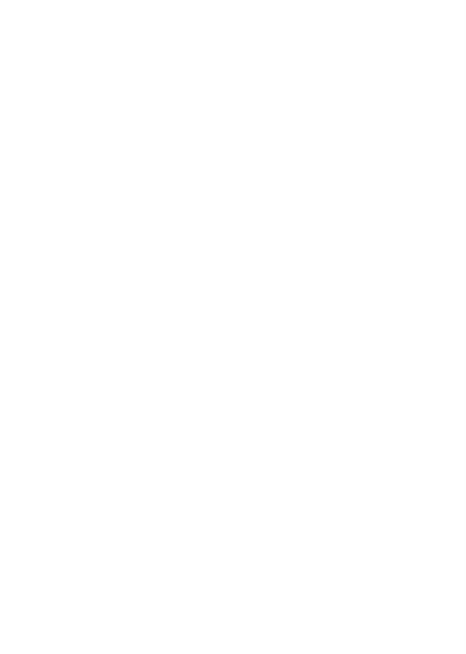with all tenants cooperating to return assets to the installation.

Hazardous waste removal was accomplished by an accumulation point plan. This plan consisted of designated points on the installation (Rose Barracks) where units turned in the hazardous waste (HW) materials. Oversight and quality control was the responsibility of the Defense Reutilization Management Office (DRMO). A contracting company came in once a week, accepted the hazardous waste, and disposed of it in the host nation's state operated disposal facilities. When this plan was implemented in 1990, there were difficulties due to lack of user training and unfamiliarity with procedures. However, by 2001, this process was well established and worked efficiently.

The fueling station required specific measures before it was acceptable for turn over. A contractor removed remaining fuel. The double walled tanks had to be drilled to allow drainage of the fluid between the walls. This fluid ensured proper containment of fuel in the event the inner wall was damaged. These tanks were not dug up, but only closed and secured. Future removal of these tanks will be very expensive, as they cannot be reutilized for their original purpose. Contractors were also required to remove heating fuel from the family housing units.

Special steps were required to ensure the proper closure of the water and wastewater disposal systems. All water lines were closed due to different U.S. and German chlorination standards. German laws allow chlorination in water for disinfection only, and no more than 0.6 mg/L of chlorine may be present after treatment (Wricke, 2). Normal range for U.S. drinking water is between 5 mg/L and 20 mg/L after treatment (EPA, 4). For wastewater disposal, the installation used the BK sewer plant. This plant performed the function of inspecting, dismantling, and securing the sewer pipes and draining the septic system of the hospital.

The only ongoing remediation site is on Marshall Caserne which is <sup>a</sup> ground water sewer system remediation stemming from a dry cleaning facility that was in operation for over 40 years. The Army was required to inform the German federal state of this ground water contamination site before turn over of the installation. This remediation has been ongoing since 1987 and the facility has been out of operation since 1995. There is no known resolution for this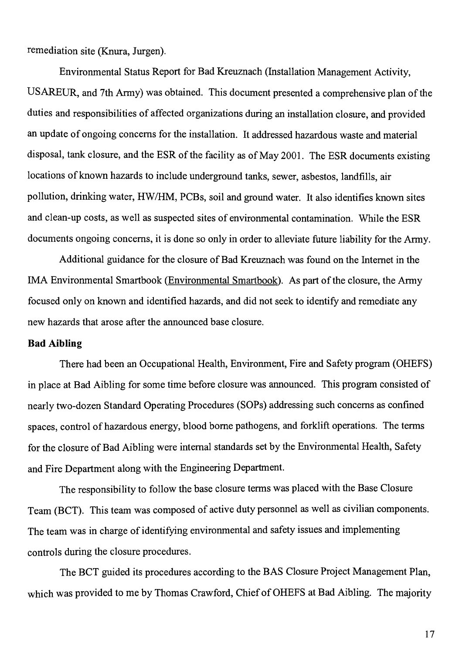remediation site (Knura, Jurgen).

Environmental Status Report for Bad Kreuznach (Installation Management Activity, USAREUR, and 7th Army) was obtained. This document presented a comprehensive plan of the duties and responsibilities of affected organizations during an installation closure, and provided an update of ongoing concerns for the installation. It addressed hazardous waste and material disposal, tank closure, and the ESR of the facility as of May 2001. The ESR documents existing locations of known hazards to include underground tanks, sewer, asbestos, landfills, air pollution, drinking water, HW/HM, PCBs, soil and ground water. It also identifies known sites and clean-up costs, as well as suspected sites of environmental contamination. While the ESR documents ongoing concerns, it is done so only in order to alleviate future liability for the Army.

Additional guidance for the closure of Bad Kreuznach was found on the Internet in the IMA Environmental Smartbook (Environmental Smartbook). As part of the closure, the Army focused only on known and identified hazards, and did not seek to identify and remediate any new hazards that arose after the announced base closure.

#### Bad Aibling

There had been an Occupational Health, Environment, Fire and Safety program (OHEFS) in place at Bad Aibling for some time before closure was announced. This program consisted of nearly two-dozen Standard Operating Procedures (SOPs) addressing such concerns as confined spaces, control of hazardous energy, blood borne pathogens, and forklift operations. The terms for the closure of Bad Aibling were internal standards set by the Environmental Health, Safety and Fire Department along with the Engineering Department.

The responsibility to follow the base closure terms was placed with the Base Closure Team (BCT). This team was composed of active duty personnel as well as civilian components. The team was in charge of identifying environmental and safety issues and implementing controls during the closure procedures.

The BCT guided its procedures according to the BAS Closure Project Management Plan, which was provided to me by Thomas Crawford, Chief of OHEFS at Bad Aibling. The majority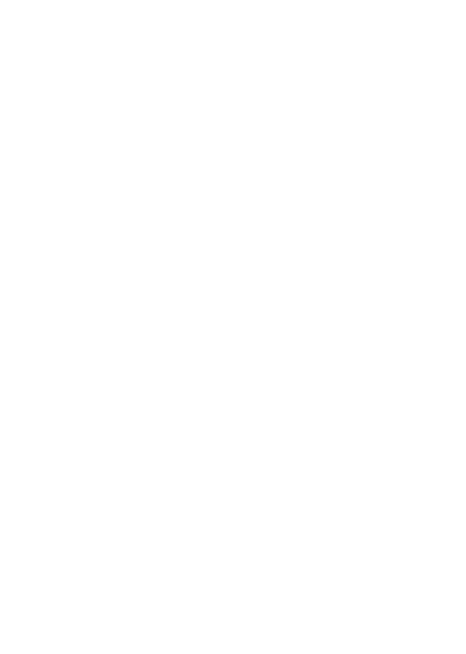of the plan is "For Official Use Only" and many of the items are noted as classified information. The facility return process began in April of 2003, 391 days before final turn over. The initial planning activities began with the coordination of USAREUR and IMA-E Staffs. Inspections of water, sewer and gas to determine conditions commenced in June 2003 and were completed in November 2003. Disposal of hazardous wastes started in June 2003. Closure of all workshops began in June 2003 and will finish in July 2004. 289 days prior to closing, safety activities took place to include Safety/Risk Management training for all military and civilian personnel. Improvement of buildings to meet operational standards began in May 2003. Health screening and physical exams were conducted on all employees to establish health conditions upon termination. The USTs and the water plant are still awaiting host nation determination and a final decision had not been received at the time of the interview.

#### Limitations

The research effort was impacted by the availability of personnel to interview for the closure of Bad Kreuznach and the sensitive nature of the information that forms the basis of this research. The researcher was unable to provide a detailed analysis of the specific  $E H \& S$ concerns remaining at each installation, and report on the ultimate resolution of these issues. While these details would have contributed additional quantifiable information to this paper, their absence did not prohibit the researcher from comparing the relative success of two programs occurring four years apart.

Historical documentation presented an incomplete picture for the closure of Bad Kreuznach, and many concerns may not have been documented. The results obtained from the ongoing closure of Bad Aibling present only a partial picture of the progress being made in closing the base. Many environmental concerns were not resolved prior to the completion of this research, and are not presented here due to continued discussion between the host nation and the US government.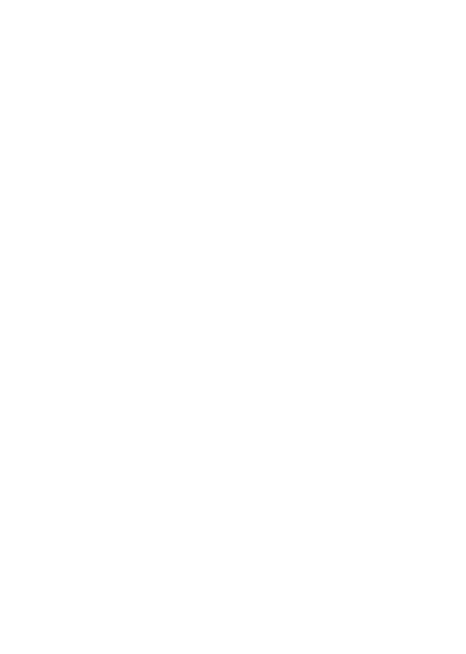#### ANALYSIS AND DISCUSSION

The U.S. Army did not have a comprehensive EH&S program when it closed Bad Kreuznach in 2001 . Its program did not go beyond compliance with regulations. The EHS closure of Bad Kreuznach essentially followed the operational plan, and the base was closed with only one ongoing remediation project. Ongoing environmental issues were addressed and the command attempted to resolve these issues through direct tasking to specific subordinate organizations. The DPW was the one responsible for completing the mission. Some goals were attained in order to remove imminent threats to health and safety and minimizing known hazards to the greatest extent possible, but these goals were not managed by one central agency with knowledge of the scope of the entire closure proceedings. Because of this, actions were uncoordinated and resulted in much duplication of effort and disagreement on priorities and goals. The decision to fill underground tanks with sand and leave them in place at Bad Kreuznach illustrates this point. From the safety perspective, filling them was the best decision, but from the environmental perspective, it would have been best to remove them from the soil and dispose of them in environmentally conscious manner. Environmental goals and indicators were not the most important factor of the base closure. The main focus was set on compliance with Army regulations.

The Army is in the process of implementing its EH&S management program. As part of this, the Army Environmental Center (AEC) published its environmental cleanup strategic plan in May 2003 (Appendix B). This document was <sup>a</sup> tremendous step forward in that it outlined objectives, targets, and success indicators for Army remediation overseas. The plan provides a basis for the development of an Environmental Health & Safety Management program. This document can be used to assess and measure the success ofremediation efforts prior to turnover of the installation to the German government. It provides the framework for effectively monitoring environmental issues as they are identified, and it gives the DOD the ability to manage, fund, and remediate known environmental hazards in order to reduce the difficulty in turning over facilities for future base closures. Target 2.2 ofthis policy indicates the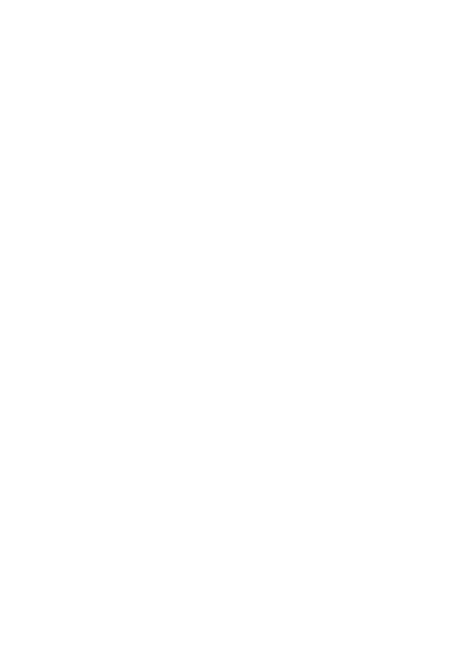Army will develop and implement a relative risk prioritization system for overseas remediation sites within one year of discovery, and will accomplish this by the end of FY2005. Additionally, the Army is establishing an environmental database that will contain all known contamination sites, but this will not be completed until FY2007.

It is evident from this research, that this policy had little impact on the closure at Bad Aibling, and the EH&S management continues to be fragmented. Because of the classified mission of Bad Aibling Station, interviewees could not reveal the status of many of the known contamination sites. This information is provided to the host nation as "Official Use Only" information, and it is not possible to determine which sites pose the most imminent threat, which have the highest priority, and the total cost associated with cleanup of these sites. Contamination sites will only be evident after subsequent turnover of the installation to the German government and a full independent survey has been conducted.

Each BSB was required to complete a comprehensive cultural and historical assessment in order to establish geographic location, land usage characteristics, and identify responsibility for each activity. The documentation for Bad Kreuznach is now considered only for interested parties involved in the purchase of the land and assets. The assessment for Bad Aibling is in the process of completion, and the information is still considered classified. Interviewees were only permitted to provide information pertaining to the history, land area and existing buildings. This allowed people involved in the closure of Bad Aibling to more easily organize the closure.

Because Bad Aibling is still awaiting a decision by the host nation on the final use of the USTs/ ASTs and water plant, it was not possible to perform a comparison of procedures used during these operations. The claims office will maintain historical documentation on the base status prior to closing and thereafter. The plan for Bad Aibling included health exams for those employees who were terminating their jobs. This clearly shows the intent of integrating health management as part of the EH&S management into the closure procedures. Their program was limited in that it did not show how future health risks could be avoided for the communities settling on the land previously occupied by the installation. There is only speculation as to how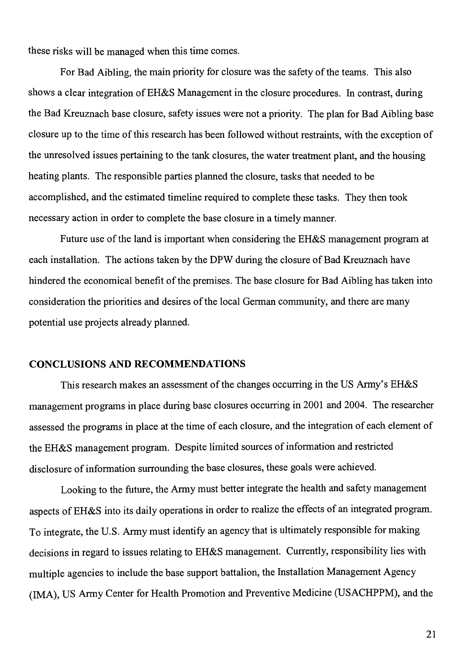these risks will be managed when this time comes.

For Bad Aibling, the main priority for closure was the safety of the teams. This also shows a clear integration of EH&S Management in the closure procedures. In contrast, during the Bad Kreuznach base closure, safety issues were not a priority. The plan for Bad Aibling base closure up to the time of this research has been followed without restraints, with the exception of the unresolved issues pertaining to the tank closures, the water treatment plant, and the housing heating plants. The responsible parties planned the closure, tasks that needed to be accomplished, and the estimated timeline required to complete these tasks. They then took necessary action in order to complete the base closure in a timely manner.

Future use of the land is important when considering the EH&S management program at each installation. The actions taken by the DPW during the closure of Bad Kreuznach have hindered the economical benefit of the premises. The base closure for Bad Aibling has taken into consideration the priorities and desires of the local German community, and there are many potential use projects already planned.

#### CONCLUSIONS AND RECOMMENDATIONS

This research makes an assessment of the changes occurring in the US Army's EH&S management programs in place during base closures occurring in 2001 and 2004. The researcher assessed the programs in place at the time of each closure, and the integration of each element of the EH&S management program. Despite limited sources of information and restricted disclosure of information surrounding the base closures, these goals were achieved.

Looking to the future, the Army must better integrate the health and safety management aspects of EH&S into its daily operations in order to realize the effects of an integrated program. To integrate, the U.S. Army must identify an agency that is ultimately responsible for making decisions in regard to issues relating to EH&S management. Currently, responsibility lies with multiple agencies to include the base support battalion, the Installation Management Agency (IMA), US Army Center for Health Promotion and Preventive Medicine (USACHPPM), and the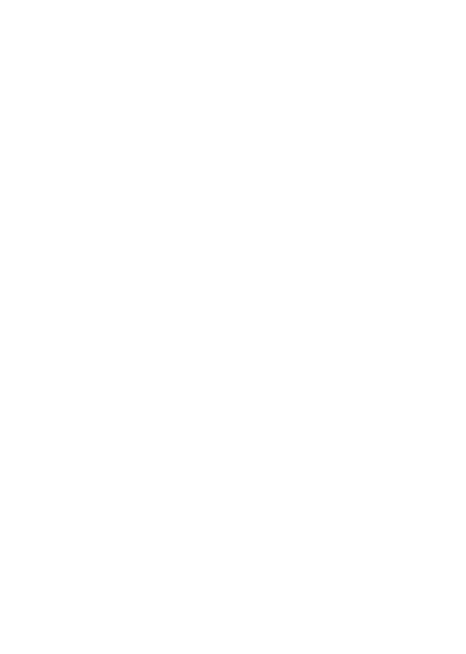priorities oftenant unit commanders. Based on this research, the best-suited agency to handle this responsibility and provide comprehensive coordination of closure activities is the IMA. Currently, it is the BSB that operates each installation and is responsible for monitoring daily activities and projects on the installation. The BSB should coordinate closely with the IMA and provide continuous feedback on closure progress and receive guidance as EH&S management issues arise. USACHPPM must also coordinate with the IMA in order to address health issues as they arise, and provide assistance based on previous lessons learned. This will minimize detrimental effects of hazards on employee health as bases are closed. In order to achieve this coordination, USACHPPM may have to become a subordinate agency under the IMA.

In 2004, the Army took strides to incorporate an environmental management system into its ongoing base operations. It has improved the process of closure and turnover of installations through policies set forth in the Army Environmental Cleanup Strategy and specifically, Army Remediation Overseas. Close adherence to the objectives, targets, and success indicators outlined in this policy should ensure the Army is able to minimize the environmental impact as bases operations continue. It is recommended that the health and safety goals and targets should receive additional emphasis and be further integrated into the process. This will ensure an operational system that encompasses every aspect of an EH&S management system. This management system will ultimately reduce the cost to the government when the land is returned to the host nation.

Focusing only on known hazards when a base closure is announced is short sighted on the Army's part. By actively identifying health and safety risks as well as estimating remediation costs, the Army can adequately fund and plan resources in order to minimize the effects of potential contamination sites. The Cleanup Strategy set forth by the US Army is a step forward in organizing subordinate activities such as the Installation Management Agency, each Area Support Group and Base Support Battalion. The Cleanup Strategy also places a priority on the preservation of the environment and ensuring the future safety of residents and businesses that occupy the area.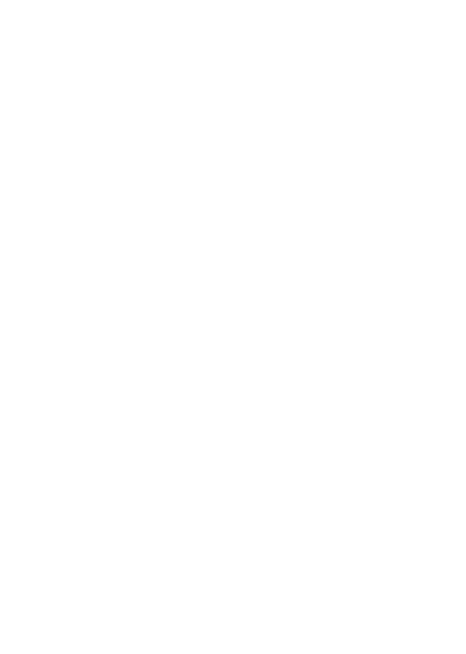### BIBLIOGRAPHY

- About USACHPPM. Ed. Unknown. USACHPPM. <sup>12</sup> Apr. 2004 <http://chppmwww.apgea.army.mil/aboutus.asp>.
- AR 870-5, Military History: Responsibilities, Policies, and Procedures . Ed. USAREUR History Office. US Army Europe. <sup>7</sup> Feb. 2004 <http://www.history.hqusareur.army.mil/ pubs.htm>.
- Army Environmental Cleanup Strategy. Ed. Mario Fiori. April 2003. Installations and Environment. 21 Mar. 2004 <http://aec.army.mil/usaec/cleanup/strategy03.pdf>.
- Bacheler, Monica, Pre-FS Bad Aibling Davs. Ed. 701 ST MI Brigade. September 1997. 701 St MI Brigade. 05 Jan. 2004 <http://www.usafsa.org/ASABadAibling.htm>.
- Bad Kreuznach. Germany. Ed. Unknown. Nov. 2002. Global Security.org. <sup>5</sup> Jan. 2004 <http://www.globalsecurity.org/military/facility/bad-kreuznach.htm>.
- Crawford, Thomas A. Personal Interview. 13 Apr 2004.
- Czucka, Tony. US to Shut Spy Station in Germany. <sup>12</sup> Dec. 2003 <http://www.usafsa.org/ FSAcurrnews/BadAiblingClosure.htm>
- Cunningham, Keith B., and Andreas Klemmer, eds. Report 4 Restructuring the US Military Bases in Germany; Scope, Impacts and Opportunities. Bonn: n.p., 1995. 6 Feb. 2003 <http://www.bicc.de/publications/reports/report04/report4.pdf>.
- DOD Instruction 4715.8 Environmental Remediation for DOD Activities Overseas. January 1992. Office of Secretary of Defense. 26 Jan. 2004.

<https://www.denix.osd.mil/denix/Public/ES-Programs/Intl/Overseas/overseas.html>.

Environmental Law of DOD Installations Overseas. Ed. Unknown. Denix. 26 Jan. 2004

<https://www.denix.osd.mil/denix/Public/Library/Overseas/lawbookl.html>.

Environmental Smartbook - Host Nation - Installation Realignment and Closure. Ed. Unk. Nov. 2000. HQUSAREUR. <sup>15</sup> Apr. 2004 <https://engnet.hqusareur.army.mil/environmental/ Smartbook/Closure.htm>.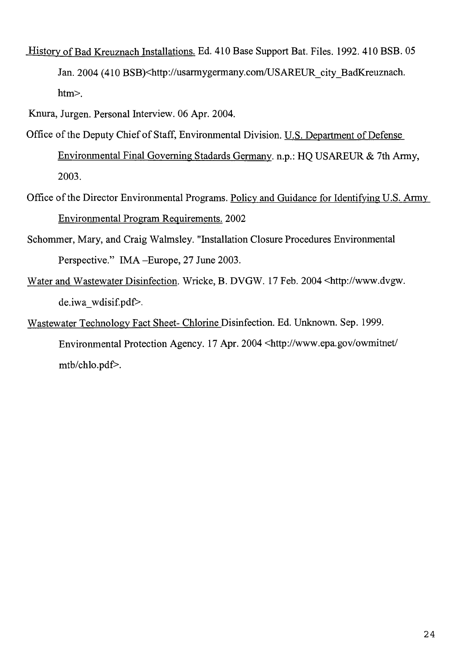History of Bad Kreuznach Installations. Ed. 410 Base Support Bat. Files. 1992. 410 BSB. 05 Jan. 2004 (410 BSB)<http://usarmygermany.com/USAREUR\_city\_BadKreuznach. htm>.

Knura, Jurgen. Personal Interview. 06 Apr. 2004.

Office of the Deputy Chief of Staff, Environmental Division. U.S. Department of Defense

Environmental Final Governing Stadards Germany, n.p.: HQ USAREUR & 7th Army, 2003.

- Office of the Director Environmental Programs. Policy and Guidance for Identifying U.S. Army Environmental Program Requirements. 2002
- Schommer, Mary, and Craig Walmsley. "Installation Closure Procedures Environmental Perspective." IMA -Europe, <sup>27</sup> June 2003.
- Water and Wastewater Disinfection. Wricke, B. DVGW. 17 Feb. 2004 <http://www.dvgw. de.iwa\_wdisif.pdf>.
- Wastewater Technology Fact Sheet- Chlorine Disinfection. Ed. Unknown. Sep. 1999. Environmental Protection Agency. 17 Apr. 2004 <http://www.epa.gov/owmitaet/ mtb/chlo.pdf>.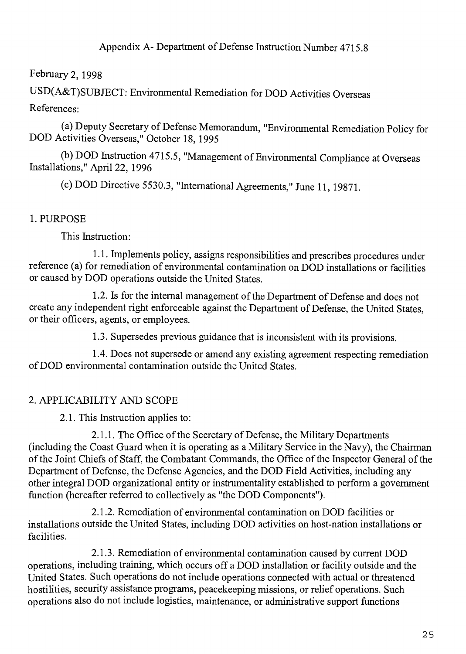February 2, 1998

USD(A&T)SUBJECT: Environmental Remediation for DOD Activities Overseas

References:

(a) Deputy Secretary of Defense Memorandum, "Environmental Remediation Policy for DOD Activities Overseas," October 18, <sup>1995</sup>

(b) DOD Instruction 4715.5, "Management of Environmental Compliance at Overseas Installations," April 22, <sup>1996</sup>

(c) DOD Directive 5530.3, "International Agreements," June 11, 19871.

# 1. PURPOSE

This Instruction:

1.1. Implements policy, assigns responsibilities and prescribes procedures under reference (a) for remediation of environmental contamination on DOD installations or facilities or caused by DOD operations outside the United States.

1.2. Is for the internal management of the Department of Defense and does not create any independent right enforceable against the Department of Defense, the United States, or their officers, agents, or employees.

1.3. Supersedes previous guidance that is inconsistent with its provisions.

1.4. Does not supersede or amend any existing agreement respecting remediation of DOD environmental contamination outside the United States.

# 2. APPLICABILITY AND SCOPE

2.1. This Instruction applies to:

2.1.1. The Office of the Secretary of Defense, the Military Departments (including the Coast Guard when it is operating as a Military Service in the Navy), the Chairman of the Joint Chiefs of Staff, the Combatant Commands, the Office of the Inspector General of the Department of Defense, the Defense Agencies, and the DOD Field Activities, including any other integral DOD organizational entity or instrumentality established to perform a government function (hereafter referred to collectively as "the DOD Components").

2.1.2. Remediation of environmental contamination on DOD facilities or installations outside the United States, including DOD activities on host-nation installations or facilities.

2.1.3. Remediation of environmental contamination caused by current DOD operations, including training, which occurs off a DOD installation or facility outside and the United States. Such operations do not include operations connected with actual or threatened hostilities, security assistance programs, peacekeeping missions, or relief operations. Such operations also do not include logistics, maintenance, or administrative support functions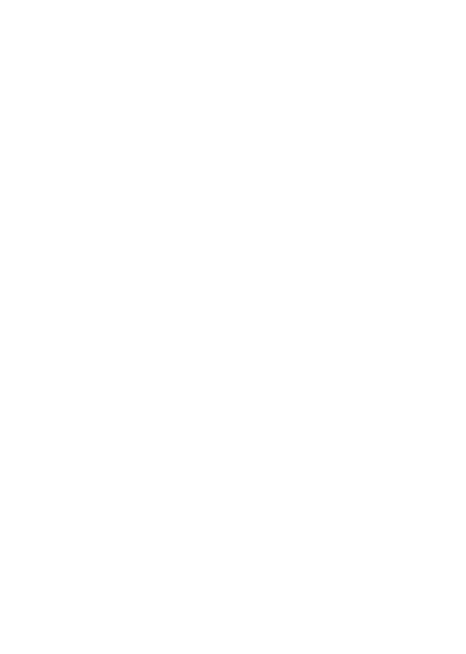provided by a contractor off base.

2.2. This Instruction does not apply to:

2.2.1. Actions to remedy environmental contamination that are covered by requirements in environmental annexes to operation orders and similar operational directives, or to requirements issued under DOD Instruction 4715.5 (reference (b)), either in country-specific Final Governing Standards or, where no Final Governing Standards have been issued, in the Overseas Environmental Baseline Guidance Document.

2.2.2. The civil works function of the Department of the Army.

2.3. For purposes of this Instruction, "United States" means the several States of the United States, the District of Columbia, the Commonwealth of Puerto Rico, Guam, American Samoa, the United States Virgin Islands, the Commonwealth of Northern Marianas, any other territory or possession over which the United States has jurisdiction, and associated navigable waters, contiguous zones, and ocean waters of which the natural resources are under the exclusive management authority of the United States.

# 3. POLICY

The DOD Components shall, in accordance with the specific limitations contained in Sections <sup>5</sup> and 6 of this Instruction, remedy known environmental contamination caused by DOD operations outside the United States.

# 4. RESPONSIBILITIES

4.1. The Deputy Under Secretary of Defense for Environmental Security, under the Under Secretary of Defense for Acquisition and Technology, shall:

4.1.1. Provide guidance on policy for remediation of overseas environmental contamination.4.1.2. Resolve a DOD Component's objections to a Combatant Commander's resolution of a dispute between the DOD Component and the Executive Agent if such objection is properly referred to the Deputy Undersecretary of Defense for Environmental Security.

4.2. The Heads of the DOD Components shall:

4.2.1. Remedy known environmental contamination to the extent required by this Instruction and the country-specific policy established by Environmental Executive Agents as set out in paragraph 4.2.3. 1, below.

4.2.2. Resolve site-specific issues such as approving strategies for remediation and determining how best to use DOD Component resources.

4.2.3. Carry out or delegate the responsibilities of Environmental Executive Agents for particular nations when designated by the Department of Defense under DOD Instruction 4715.5 (reference (b)), including the following:

4.2.3.1. Establish country-specific remediation policy to ensure consistent remediation of DOD-contaminated sites in the host nation. Consistent with this Instruction and subject to the specific limitations contained in Sections <sup>5</sup> and 6, below, the country-specific policy shall: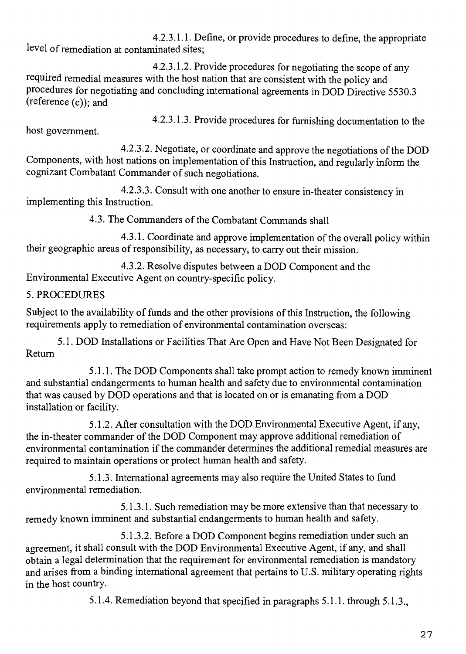4.2.3.1.1. Define, or provide procedures to define, the appropriate level of remediation at contaminated sites;

4.2.3.1.2. Provide procedures for negotiating the scope of any required remedial measures with the host nation that are consistent with the policy and procedures for negotiating and concluding international agreements in DOD Directive 5530.3 (reference (c)); and

host government.

4.2.3.1.3. Provide procedures for furnishing documentation to the

4.2.3.2. Negotiate, or coordinate and approve the negotiations of the DOD Components, with host nations on implementation of this Instruction, and regularly inform the cognizant Combatant Commander of such negotiations.

4.2.3.3. Consult with one another to ensure in-theater consistency in implementing this Instruction.

4.3. The Commanders of the Combatant Commands shall

4.3.1. Coordinate and approve implementation of the overall policy within their geographic areas of responsibility, as necessary, to carry out their mission.

4.3.2. Resolve disputes between a DOD Component and the Environmental Executive Agent on country-specific policy.

# 5. PROCEDURES

Subject to the availability of funds and the other provisions of this Instruction, the following requirements apply to remediation of environmental contamination overseas:

5.1. DOD Installations or Facilities That Are Open and Have Not Been Designated for Return

5.1.1. The DOD Components shall take prompt action to remedy known imminent and substantial endangerments to human health and safety due to environmental contamination that was caused by DOD operations and that is located on or is emanating from a DOD installation or facility.

5.1.2. After consultation with the DOD Environmental Executive Agent, if any, the in-theater commander of the DOD Component may approve additional remediation of environmental contamination if the commander determines the additional remedial measures are required to maintain operations or protect human health and safety.

5.1.3. International agreements may also require the United States to fund environmental remediation.

5.1.3.1. Such remediation may be more extensive than that necessary to remedy known imminent and substantial endangerments to human health and safety.

5.1.3.2. Before a DOD Component begins remediation under such an agreement, it shall consult with the DOD Environmental Executive Agent, if any, and shall obtain a legal determination that the requirement for environmental remediation is mandatory and arises from a binding international agreement that pertains to U.S. military operating rights in the host country.

5.1.4. Remediation beyond that specified in paragraphs 5.1.1. through 5.1.3.,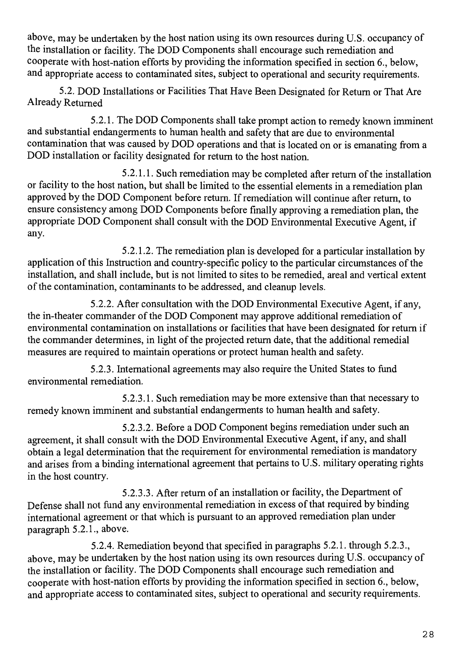above, may be undertaken by the host nation using its own resources during U.S. occupancy of the installation or facility. The DOD Components shall encourage such remediation and cooperate with host-nation efforts by providing the information specified in section 6., below, and appropriate access to contaminated sites, subject to operational and security requirements.

5.2. DOD Installations or Facilities That Have Been Designated for Return or That Are Already Returned

5.2.1. The DOD Components shall take prompt action to remedy known imminent and substantial endangerments to human health and safety that are due to environmental contamination that was caused by DOD operations and that is located on or is emanating from a DOD installation or facility designated for return to the host nation.

 $5.2.1.1$ . Such remediation may be completed after return of the installation or facility to the host nation, but shall be limited to the essential elements in a remediation plan approved by the DOD Component before return. If remediation will continue after return, to ensure consistency among DOD Components before finally approving a remediation plan, the appropriate DOD Component shall consult with the DOD Environmental Executive Agent, if any.

5.2.1.2. The remediation plan is developed for a particular installation by application of this Instruction and country-specific policy to the particular circumstances of the installation, and shall include, but is not limited to sites to be remedied, areal and vertical extent of the contamination, contaminants to be addressed, and cleanup levels.

5.2.2. After consultation with the DOD Environmental Executive Agent, if any, the in-theater commander of the DOD Component may approve additional remediation of environmental contamination on installations or facilities that have been designated for return if the commander determines, in light of the projected return date, that the additional remedial measures are required to maintain operations or protect human health and safety.

5.2.3. International agreements may also require the United States to fund environmental remediation.

5.2.3. <sup>1</sup> . Such remediation may be more extensive than that necessary to remedy known imminent and substantial endangerments to human health and safety.

5.2.3.2. Before a DOD Component begins remediation under such an agreement, it shall consult with the DOD Environmental Executive Agent, if any, and shall obtain a legal determination that the requirement for environmental remediation is mandatory and arises from a binding international agreement that pertains to U.S. military operating rights in the host country.

5.2.3.3. After return of an installation or facility, the Department of Defense shall not fund any environmental remediation in excess of that required by binding international agreement or that which is pursuant to an approved remediation plan under paragraph 5.2.1., above.

5.2.4. Remediation beyond that specified in paragraphs 5.2.1. through 5.2.3., above, may be undertaken by the host nation using its own resources during U.S. occupancy of the installation or facility. The DOD Components shall encourage such remediation and cooperate with host-nation efforts by providing the information specified in section 6., below, and appropriate access to contaminated sites, subject to operational and security requirements.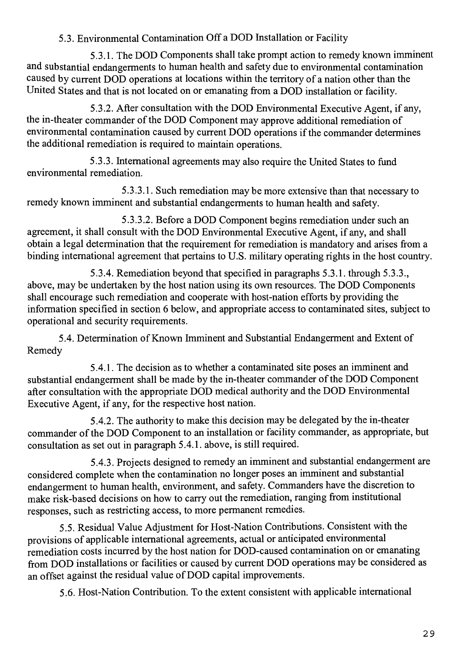5.3. Environmental Contamination Off a DOD Installation or Facility

5.3.1. The DOD Components shall take prompt action to remedy known imminent and substantial endangerments to human health and safety due to environmental contamination caused by current DOD operations at locations within the territory of a nation other than the United States and that is not located on or emanating from a DOD installation or facility.

5.3.2. After consultation with the DOD Environmental Executive Agent, if any, the in-theater commander of the DOD Component may approve additional remediation of environmental contamination caused by current DOD operations if the commander determines the additional remediation is required to maintain operations.

5.3.3. International agreements may also require the United States to fund environmental remediation.

5.3.3.1 . Such remediation may be more extensive than that necessary to remedy known imminent and substantial endangerments to human health and safety.

5.3.3.2. Before a DOD Component begins remediation under such an agreement, it shall consult with the DOD Environmental Executive Agent, if any, and shall obtain a legal determination that the requirement for remediation is mandatory and arises from a binding international agreement that pertains to U.S. military operating rights in the host country.

5.3.4. Remediation beyond that specified in paragraphs 5.3.1. through 5.3.3., above, may be undertaken by the host nation using its own resources. The DOD Components shall encourage such remediation and cooperate with host-nation efforts by providing the information specified in section 6 below, and appropriate access to contaminated sites, subject to operational and security requirements.

5.4. Determination of Known Imminent and Substantial Endangerment and Extent of Remedy

5.4.1. The decision as to whether a contaminated site poses an imminent and substantial endangerment shall be made by the in-theater commander of the DOD Component after consultation with the appropriate DOD medical authority and the DOD Environmental Executive Agent, if any, for the respective host nation.

5.4.2. The authority to make this decision may be delegated by the in-theater commander of the DOD Component to an installation or facility commander, as appropriate, but consultation as set out in paragraph 5.4.1. above, is still required.

5.4.3. Projects designed to remedy an imminent and substantial endangerment are considered complete when the contamination no longer poses an imminent and substantial endangerment to human health, environment, and safety. Commanders have the discretion to make risk-based decisions on how to carry out the remediation, ranging from institutional responses, such as restricting access, to more permanent remedies.

5.5. Residual Value Adjustment for Host-Nation Contributions. Consistent with the provisions of applicable international agreements, actual or anticipated environmental remediation costs incurred by the host nation for DOD-caused contamination on or emanating from DOD installations or facilities or caused by current DOD operations may be considered as an offset against the residual value of DOD capital improvements.

5.6. Host-Nation Contribution. To the extent consistent with applicable international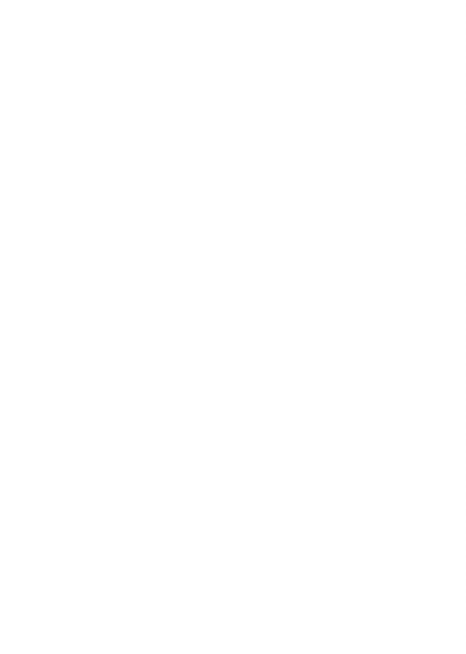agreements, the responsible official under section 4., above, shall seek host-nation or third country contribution, including assistance in kind, for remediation funded by the United States.

5.7. Negotiations With Host Nation. Negotiations with the host nation, whether by the DOD Environmental Executive Agent or DOD Component, shall be conducted in accordance with this Instruction; DOD Directive 5530.3 (reference (c)), and other applicable Directives.

### 6. INFORMATION REQUIREMENTS

6.1. The DOD Components may develop information, and shall maintain existing information, about environmental contamination at DOD locations for five years after the location is returned to the host nation and all claims or other issues about contamination are finally resolved.

6.2. Information on contamination not located on or emanating from a DOD installation or facility that was caused by DOD operations shall be collected and maintained for five years after issues about the contamination are finally resolved with the host nation.

6.3. Subject to security requirements, this information shall be provided, through the DOD Environmental Executive Agent and the Embassy, where required, to host-nation authorities upon request.

# 7. EFFECTIVE DATE

This Instruction is effective immediately. Signed J.S. Gansler.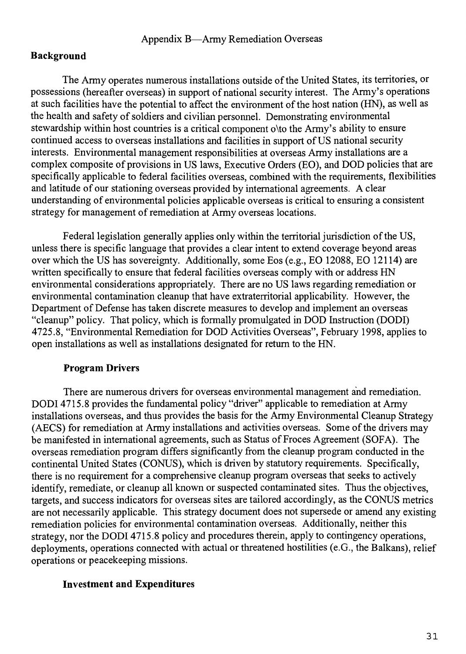### Background

The Army operates numerous installations outside of the United States, its territories, or possessions (hereafter overseas) in support of national security interest. The Army's operations at such facilities have the potential to affect the environment of the host nation (HN), as well as the health and safety of soldiers and civilian personnel. Demonstrating environmental stewardship within host countries is a critical component o\to the Army's ability to ensure continued access to overseas installations and facilities in support of US national security interests. Environmental management responsibilities at overseas Army installations are a complex composite of provisions in US laws, Executive Orders (EO), and DOD policies that are specifically applicable to federal facilities overseas, combined with the requirements, flexibilities and latitude of our stationing overseas provided by international agreements. A clear understanding of environmental policies applicable overseas is critical to ensuring a consistent strategy for management of remediation at Army overseas locations.

Federal legislation generally applies only within the territorial jurisdiction of the US, unless there is specific language that provides a clear intent to extend coverage beyond areas over which the US has sovereignty. Additionally, some Eos (e.g., EO 12088, EO 121 14) are written specifically to ensure that federal facilities overseas comply with or address HN environmental considerations appropriately. There are no US laws regarding remediation or environmental contamination cleanup that have extraterritorial applicability. However, the Department of Defense has taken discrete measures to develop and implement an overseas "cleanup" policy. That policy, which is formally promulgated in DOD Instruction (DODI) 4725.8, "Environmental Remediation for DOD Activities Overseas", February 1998, applies to open installations as well as installations designated for return to the HN.

### Program Drivers

There are numerous drivers for overseas environmental management and remediation. DODI 4715.8 provides the fundamental policy "driver" applicable to remediation at Army installations overseas, and thus provides the basis for the Army Environmental Cleanup Strategy (AECS) for remediation at Army installations and activities overseas. Some of the drivers may be manifested in international agreements, such as Status of Froces Agreement (SOFA). The overseas remediation program differs significantly from the cleanup program conducted in the continental United States (CONUS), which is driven by statutory requirements. Specifically, there is no requirement for a comprehensive cleanup program overseas that seeks to actively identify, remediate, or cleanup all known or suspected contaminated sites. Thus the objectives, targets, and success indicators for overseas sites are tailored accordingly, as the CONUS metrics are not necessarily applicable. This strategy document does not supersede or amend any existing remediation policies for environmental contamination overseas. Additionally, neither this strategy, nor the DODI 4715.8 policy and procedures therein, apply to contingency operations, deployments, operations connected with actual or threatened hostilities (e.G., the Balkans), relief operations or peacekeeping missions.

### Investment and Expenditures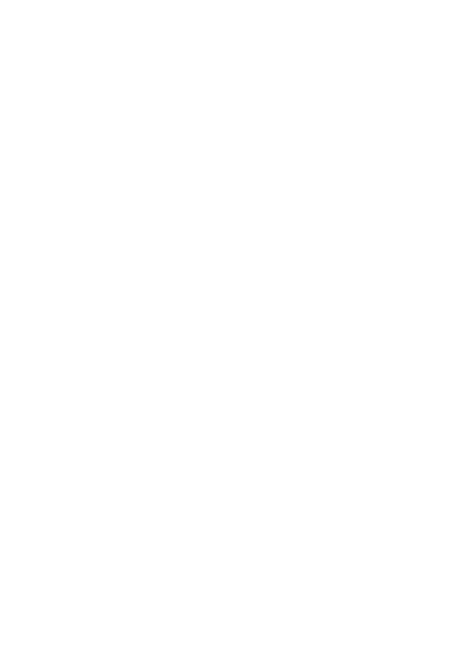The Army programs, executes and monitors expenditures for overseas cleanup via the EPR process. Installation Management Regional Offices (IMROs) and installations will maintain historical data on costs for remediation at overseas locations.

# Mission Statement for Army Remediation Overseas

The primary cleanup mission at overseas locations is to remediate "known" imminent and substantial endangerments to human health and safety due to environmental contamination caused by past Army operations that are located on or is emanating from an Army installation or facility. Additional mission elements to consider are retaining mission/operational capability, maintaining installation access, protection of human health, and applicable international agreements.

# Objectives, Targets, and Success Indicators for Army Remediation Overseas

| Objectives, targets and success indicators are formatted as follows: |
|----------------------------------------------------------------------|
| l. Objective.                                                        |

1.1. Target(s) for this objective.

1.1.1. Success indicator(s) for this target.

- 1. Protect the health and safety of military, civilian and local national personnel.
	- 1.1. Protect workers, the public, and the environment as hazards are identified.
		- 1.1.1. Exposure to contaminated sites is limited until remediation measures are conducted.
- Conduct remediation in accordance with policy and procedures prescribed in DODI 4715.8; specifically, this includes:
	- Remediation of known imminent and substantial endangerment to human health  $\bullet$ and safety;
	- Remedial measures required in order to maintain operational capabilities;
	- Protection of human health and safety; and'
	- Consideration of applicable international agreements.
	- 2.1. Develop and maintain an inventory of contaminated sites that pose a threat to human health and safety by the end of fiscal year 2004.
	- 2.2. Develop and implement a relative risk prioritization system for overseas remediation sites by the end of FY2005. Complete relative risk site evaluation for newly identified sites within one year of discovery.
		- 2.2.1. Identification of appropriate site prioritization (high, medium, low) in EPR exhibits.
	- 2.3. Establish and maintain a permanent archive for cleanup information, regardless of funding source, so that cleanup information can be retrieved at any date in the future, by FY2005.
		- 2.3.1. Comprehensive, up to date permanent archive that reflects all environmental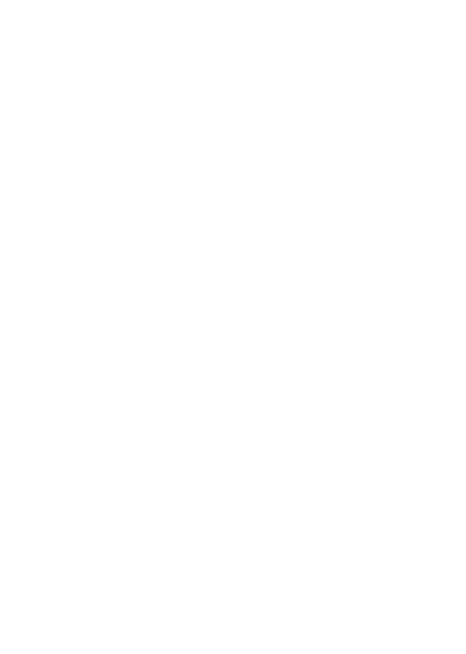remediation at an overseas installation.

- 2.4. Achieve full compliance with country-specific remediation policies as they are established by the DOD designated Executive Agents.
- 3. Consider mission capabilities and objectives as an integral component of the decisionmaking process when determining whether the ability to "maintain operations" is nt of the decision-<br>operations" is<br> $\sum_{n=1}^{\infty}$ sufficient to warrant cleanup expenditures (in consonance with DODI 4715.8).
	- 3.1. Ensure contaminated sites do not impair operational/ mission needs.
		- 3.1.1. Maintenance of unimpaired operations and installation access.
- 4. Plan, program, and execute funds for identified remediation requirements at overseas locations.
	- 4.1. Establish a baseline profile of remediation projects for the POM.
		- 4.1.1. Requirements for all identified sites are programmed in the EPR.
		- 4.1.2. Successful quality assurance review and validation of projects by HQDA/ODEP.
	- 4.2. Ensure that 100% of all overseas remediation sites comply with funding eligibility parameters established in DODI 4715.8 and are programmed.
		- 4.2.1. Funding requirements are adequately programmed in the EPR through the POM
		- 4.2.2. Decreases in programmed funding for baseline sites in the outyears.
	- 4.3. Implement verifiable, credible and auditable cost estimates for overseas remediation projects.
	- 4.4. Monitor projects to ensure that Army funds are spent for projects that meet the criteria established in, or are otherwise eligible for funding in accordance with DODI 4715.8.
		- 4.4.1. Remediation projects in the baseline profile are steadily being completed.
		- 4.4.2. Newly identified projects are higher in relative risk or another parameter to justify funding priority ahead of remediation projects in the baseline profile.
- 5. Demonstrate cooperation and coordination with host nation authorities, and ensure use of the claims process where appropriate.
	- 5.1. Eliminate, to the extent practical, projects programmed in the EPR that are eligible for funding via the "Claims" process (e.g., by the host nation/third parties).
		- 5.1.1. Reduction/elimination of sites/projects programmed in EPR due to funding via the Claims process.

# Reporting Mechanism

The Environmental Program Requirements (EPR) report is the primary mechanism to identify and report overseas remediation projects. The Army will continue to review overseas remediation projects in the EPR to ensure adherence to DODI 4715.8, and resolve any discrepancies as appropriate.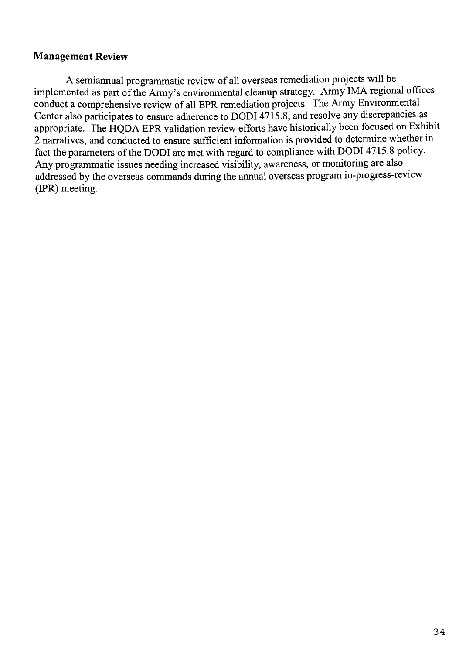### Management Review

A semiannual programmatic review of all overseas remediation projects will be implemented as part of the Army's environmental cleanup strategy. Army IMA regional offices conduct a comprehensive review of all EPR remediation projects. The Army Environmental Center also participates to ensure adherence to DODI 4715.8, and resolve any discrepancies as appropriate. The HQDA EPR validation review efforts have historically been focused on Exhibit <sup>2</sup> narratives, and conducted to ensure sufficient information is provided to determine whether in fact the parameters of the DODI are met with regard to compliance with DODI 4715.8 policy. Any programmatic issues needing increased visibility, awareness, or monitoring are also addressed by the overseas commands during the annual overseas program in-progress-review (IPR) meeting.